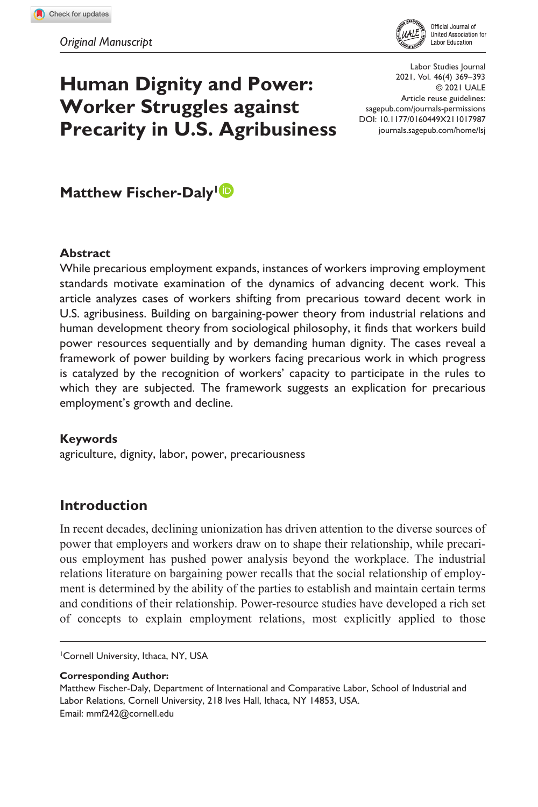

# **Human Dignity and Power: Worker Struggles against Precarity in U.S. Agribusiness**

DOI: 10.1177/0160449X211017987 Labor Studies Journal © 2021 UALE Article reuse guidelines: [sagepub.com/journals-permissions](https://us.sagepub.com/en-us/journals-permissions) [journals.sagepub.com/home/lsj](https://journals.sagepub.com/home/lsj) 2021, Vol. 46(4) 369–\ 393

**Matthew Fischer-Daly<sup>1</sup><sup>1</sup>** 

#### **Abstract**

While precarious employment expands, instances of workers improving employment standards motivate examination of the dynamics of advancing decent work. This article analyzes cases of workers shifting from precarious toward decent work in U.S. agribusiness. Building on bargaining-power theory from industrial relations and human development theory from sociological philosophy, it finds that workers build power resources sequentially and by demanding human dignity. The cases reveal a framework of power building by workers facing precarious work in which progress is catalyzed by the recognition of workers' capacity to participate in the rules to which they are subjected. The framework suggests an explication for precarious employment's growth and decline.

#### **Keywords**

agriculture, dignity, labor, power, precariousness

# **Introduction**

In recent decades, declining unionization has driven attention to the diverse sources of power that employers and workers draw on to shape their relationship, while precarious employment has pushed power analysis beyond the workplace. The industrial relations literature on bargaining power recalls that the social relationship of employment is determined by the ability of the parties to establish and maintain certain terms and conditions of their relationship. Power-resource studies have developed a rich set of concepts to explain employment relations, most explicitly applied to those

1 Cornell University, Ithaca, NY, USA

**Corresponding Author:**

Matthew Fischer-Daly, Department of International and Comparative Labor, School of Industrial and Labor Relations, Cornell University, 218 Ives Hall, Ithaca, NY 14853, USA. Email: [mmf242@cornell.edu](mailto:mmf242@cornell.edu)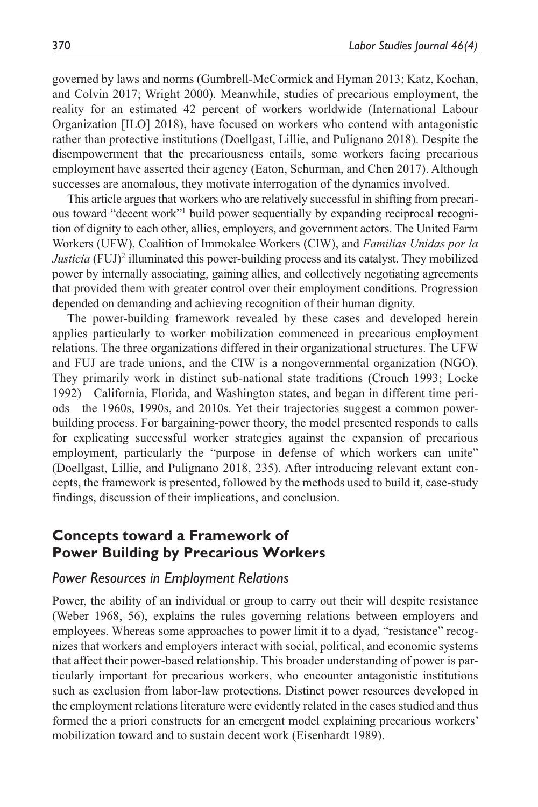governed by laws and norms (Gumbrell-McCormick and Hyman 2013; Katz, Kochan, and Colvin 2017; Wright 2000). Meanwhile, studies of precarious employment, the reality for an estimated 42 percent of workers worldwide (International Labour Organization [ILO] 2018), have focused on workers who contend with antagonistic rather than protective institutions (Doellgast, Lillie, and Pulignano 2018). Despite the disempowerment that the precariousness entails, some workers facing precarious employment have asserted their agency (Eaton, Schurman, and Chen 2017). Although successes are anomalous, they motivate interrogation of the dynamics involved.

This article argues that workers who are relatively successful in shifting from precarious toward "decent work"1 build power sequentially by expanding reciprocal recognition of dignity to each other, allies, employers, and government actors. The United Farm Workers (UFW), Coalition of Immokalee Workers (CIW), and *Familias Unidas por la*  Justicia (FUJ)<sup>2</sup> illuminated this power-building process and its catalyst. They mobilized power by internally associating, gaining allies, and collectively negotiating agreements that provided them with greater control over their employment conditions. Progression depended on demanding and achieving recognition of their human dignity.

The power-building framework revealed by these cases and developed herein applies particularly to worker mobilization commenced in precarious employment relations. The three organizations differed in their organizational structures. The UFW and FUJ are trade unions, and the CIW is a nongovernmental organization (NGO). They primarily work in distinct sub-national state traditions (Crouch 1993; Locke 1992)—California, Florida, and Washington states, and began in different time periods—the 1960s, 1990s, and 2010s. Yet their trajectories suggest a common powerbuilding process. For bargaining-power theory, the model presented responds to calls for explicating successful worker strategies against the expansion of precarious employment, particularly the "purpose in defense of which workers can unite" (Doellgast, Lillie, and Pulignano 2018, 235). After introducing relevant extant concepts, the framework is presented, followed by the methods used to build it, case-study findings, discussion of their implications, and conclusion.

### **Concepts toward a Framework of Power Building by Precarious Workers**

#### *Power Resources in Employment Relations*

Power, the ability of an individual or group to carry out their will despite resistance (Weber 1968, 56), explains the rules governing relations between employers and employees. Whereas some approaches to power limit it to a dyad, "resistance" recognizes that workers and employers interact with social, political, and economic systems that affect their power-based relationship. This broader understanding of power is particularly important for precarious workers, who encounter antagonistic institutions such as exclusion from labor-law protections. Distinct power resources developed in the employment relations literature were evidently related in the cases studied and thus formed the a priori constructs for an emergent model explaining precarious workers' mobilization toward and to sustain decent work (Eisenhardt 1989).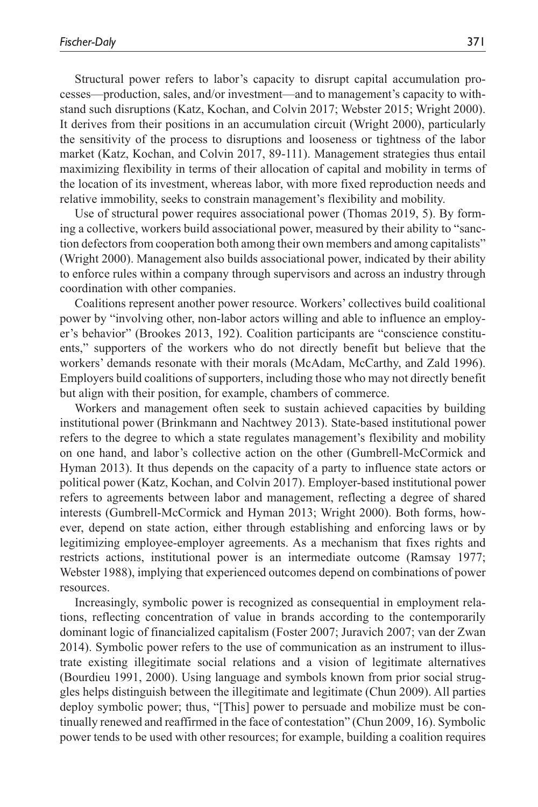Structural power refers to labor's capacity to disrupt capital accumulation processes—production, sales, and/or investment—and to management's capacity to withstand such disruptions (Katz, Kochan, and Colvin 2017; Webster 2015; Wright 2000). It derives from their positions in an accumulation circuit (Wright 2000), particularly the sensitivity of the process to disruptions and looseness or tightness of the labor market (Katz, Kochan, and Colvin 2017, 89-111). Management strategies thus entail maximizing flexibility in terms of their allocation of capital and mobility in terms of the location of its investment, whereas labor, with more fixed reproduction needs and relative immobility, seeks to constrain management's flexibility and mobility.

Use of structural power requires associational power (Thomas 2019, 5). By forming a collective, workers build associational power, measured by their ability to "sanction defectors from cooperation both among their own members and among capitalists" (Wright 2000). Management also builds associational power, indicated by their ability to enforce rules within a company through supervisors and across an industry through coordination with other companies.

Coalitions represent another power resource. Workers' collectives build coalitional power by "involving other, non-labor actors willing and able to influence an employer's behavior" (Brookes 2013, 192). Coalition participants are "conscience constituents," supporters of the workers who do not directly benefit but believe that the workers' demands resonate with their morals (McAdam, McCarthy, and Zald 1996). Employers build coalitions of supporters, including those who may not directly benefit but align with their position, for example, chambers of commerce.

Workers and management often seek to sustain achieved capacities by building institutional power (Brinkmann and Nachtwey 2013). State-based institutional power refers to the degree to which a state regulates management's flexibility and mobility on one hand, and labor's collective action on the other (Gumbrell-McCormick and Hyman 2013). It thus depends on the capacity of a party to influence state actors or political power (Katz, Kochan, and Colvin 2017). Employer-based institutional power refers to agreements between labor and management, reflecting a degree of shared interests (Gumbrell-McCormick and Hyman 2013; Wright 2000). Both forms, however, depend on state action, either through establishing and enforcing laws or by legitimizing employee-employer agreements. As a mechanism that fixes rights and restricts actions, institutional power is an intermediate outcome (Ramsay 1977; Webster 1988), implying that experienced outcomes depend on combinations of power resources.

Increasingly, symbolic power is recognized as consequential in employment relations, reflecting concentration of value in brands according to the contemporarily dominant logic of financialized capitalism (Foster 2007; Juravich 2007; van der Zwan 2014). Symbolic power refers to the use of communication as an instrument to illustrate existing illegitimate social relations and a vision of legitimate alternatives (Bourdieu 1991, 2000). Using language and symbols known from prior social struggles helps distinguish between the illegitimate and legitimate (Chun 2009). All parties deploy symbolic power; thus, "[This] power to persuade and mobilize must be continually renewed and reaffirmed in the face of contestation" (Chun 2009, 16). Symbolic power tends to be used with other resources; for example, building a coalition requires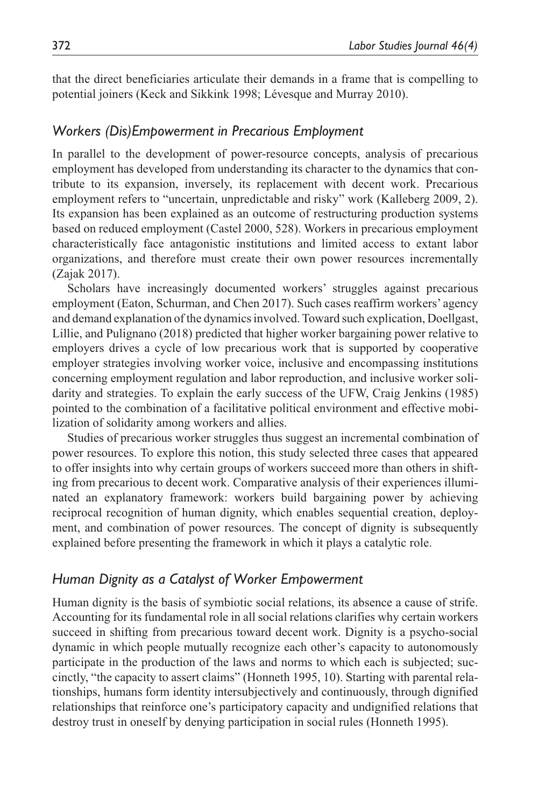that the direct beneficiaries articulate their demands in a frame that is compelling to potential joiners (Keck and Sikkink 1998; Lévesque and Murray 2010).

#### *Workers (Dis)Empowerment in Precarious Employment*

In parallel to the development of power-resource concepts, analysis of precarious employment has developed from understanding its character to the dynamics that contribute to its expansion, inversely, its replacement with decent work. Precarious employment refers to "uncertain, unpredictable and risky" work (Kalleberg 2009, 2). Its expansion has been explained as an outcome of restructuring production systems based on reduced employment (Castel 2000, 528). Workers in precarious employment characteristically face antagonistic institutions and limited access to extant labor organizations, and therefore must create their own power resources incrementally (Zajak 2017).

Scholars have increasingly documented workers' struggles against precarious employment (Eaton, Schurman, and Chen 2017). Such cases reaffirm workers' agency and demand explanation of the dynamics involved. Toward such explication, Doellgast, Lillie, and Pulignano (2018) predicted that higher worker bargaining power relative to employers drives a cycle of low precarious work that is supported by cooperative employer strategies involving worker voice, inclusive and encompassing institutions concerning employment regulation and labor reproduction, and inclusive worker solidarity and strategies. To explain the early success of the UFW, Craig Jenkins (1985) pointed to the combination of a facilitative political environment and effective mobilization of solidarity among workers and allies.

Studies of precarious worker struggles thus suggest an incremental combination of power resources. To explore this notion, this study selected three cases that appeared to offer insights into why certain groups of workers succeed more than others in shifting from precarious to decent work. Comparative analysis of their experiences illuminated an explanatory framework: workers build bargaining power by achieving reciprocal recognition of human dignity, which enables sequential creation, deployment, and combination of power resources. The concept of dignity is subsequently explained before presenting the framework in which it plays a catalytic role.

### *Human Dignity as a Catalyst of Worker Empowerment*

Human dignity is the basis of symbiotic social relations, its absence a cause of strife. Accounting for its fundamental role in all social relations clarifies why certain workers succeed in shifting from precarious toward decent work. Dignity is a psycho-social dynamic in which people mutually recognize each other's capacity to autonomously participate in the production of the laws and norms to which each is subjected; succinctly, "the capacity to assert claims" (Honneth 1995, 10). Starting with parental relationships, humans form identity intersubjectively and continuously, through dignified relationships that reinforce one's participatory capacity and undignified relations that destroy trust in oneself by denying participation in social rules (Honneth 1995).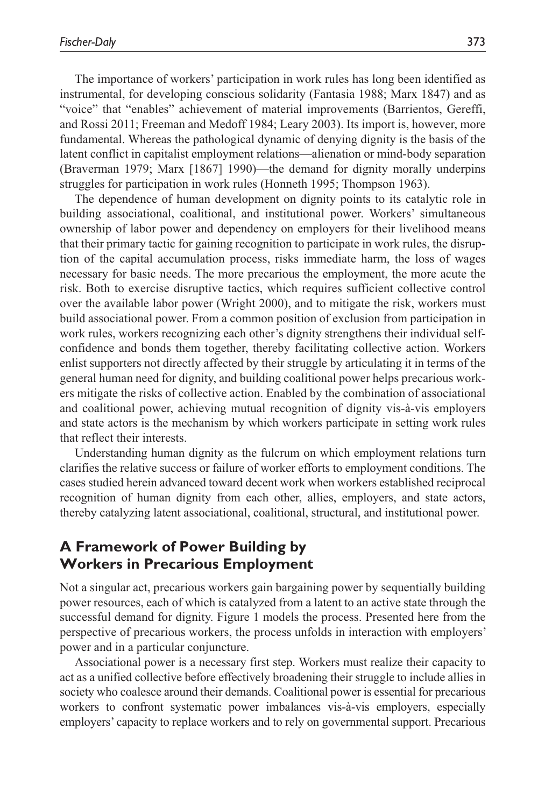The importance of workers' participation in work rules has long been identified as instrumental, for developing conscious solidarity (Fantasia 1988; Marx 1847) and as "voice" that "enables" achievement of material improvements (Barrientos, Gereffi, and Rossi 2011; Freeman and Medoff 1984; Leary 2003). Its import is, however, more fundamental. Whereas the pathological dynamic of denying dignity is the basis of the latent conflict in capitalist employment relations—alienation or mind-body separation (Braverman 1979; Marx [1867] 1990)—the demand for dignity morally underpins struggles for participation in work rules (Honneth 1995; Thompson 1963).

The dependence of human development on dignity points to its catalytic role in building associational, coalitional, and institutional power. Workers' simultaneous ownership of labor power and dependency on employers for their livelihood means that their primary tactic for gaining recognition to participate in work rules, the disruption of the capital accumulation process, risks immediate harm, the loss of wages necessary for basic needs. The more precarious the employment, the more acute the risk. Both to exercise disruptive tactics, which requires sufficient collective control over the available labor power (Wright 2000), and to mitigate the risk, workers must build associational power. From a common position of exclusion from participation in work rules, workers recognizing each other's dignity strengthens their individual selfconfidence and bonds them together, thereby facilitating collective action. Workers enlist supporters not directly affected by their struggle by articulating it in terms of the general human need for dignity, and building coalitional power helps precarious workers mitigate the risks of collective action. Enabled by the combination of associational and coalitional power, achieving mutual recognition of dignity vis-à-vis employers and state actors is the mechanism by which workers participate in setting work rules that reflect their interests.

Understanding human dignity as the fulcrum on which employment relations turn clarifies the relative success or failure of worker efforts to employment conditions. The cases studied herein advanced toward decent work when workers established reciprocal recognition of human dignity from each other, allies, employers, and state actors, thereby catalyzing latent associational, coalitional, structural, and institutional power.

# **A Framework of Power Building by Workers in Precarious Employment**

Not a singular act, precarious workers gain bargaining power by sequentially building power resources, each of which is catalyzed from a latent to an active state through the successful demand for dignity. Figure 1 models the process. Presented here from the perspective of precarious workers, the process unfolds in interaction with employers' power and in a particular conjuncture.

Associational power is a necessary first step. Workers must realize their capacity to act as a unified collective before effectively broadening their struggle to include allies in society who coalesce around their demands. Coalitional power is essential for precarious workers to confront systematic power imbalances vis-à-vis employers, especially employers' capacity to replace workers and to rely on governmental support. Precarious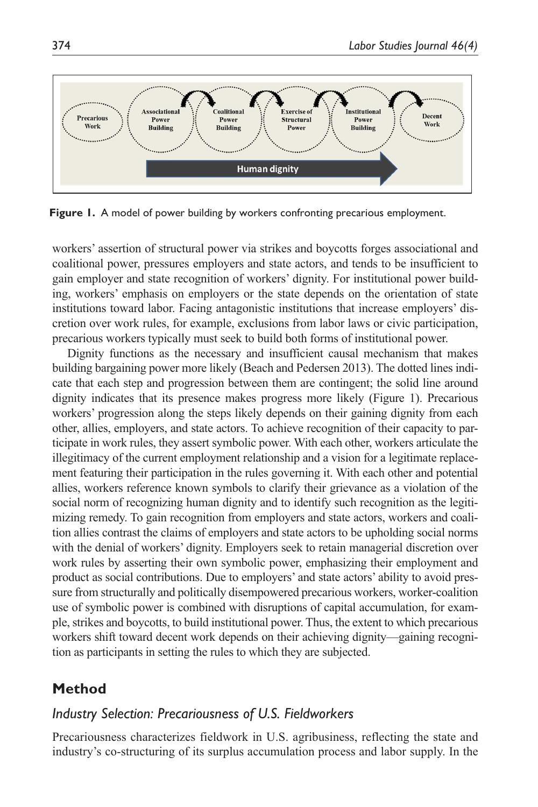

Figure 1. A model of power building by workers confronting precarious employment.

workers' assertion of structural power via strikes and boycotts forges associational and coalitional power, pressures employers and state actors, and tends to be insufficient to gain employer and state recognition of workers' dignity. For institutional power building, workers' emphasis on employers or the state depends on the orientation of state institutions toward labor. Facing antagonistic institutions that increase employers' discretion over work rules, for example, exclusions from labor laws or civic participation, precarious workers typically must seek to build both forms of institutional power.

Dignity functions as the necessary and insufficient causal mechanism that makes building bargaining power more likely (Beach and Pedersen 2013). The dotted lines indicate that each step and progression between them are contingent; the solid line around dignity indicates that its presence makes progress more likely (Figure 1). Precarious workers' progression along the steps likely depends on their gaining dignity from each other, allies, employers, and state actors. To achieve recognition of their capacity to participate in work rules, they assert symbolic power. With each other, workers articulate the illegitimacy of the current employment relationship and a vision for a legitimate replacement featuring their participation in the rules governing it. With each other and potential allies, workers reference known symbols to clarify their grievance as a violation of the social norm of recognizing human dignity and to identify such recognition as the legitimizing remedy. To gain recognition from employers and state actors, workers and coalition allies contrast the claims of employers and state actors to be upholding social norms with the denial of workers' dignity. Employers seek to retain managerial discretion over work rules by asserting their own symbolic power, emphasizing their employment and product as social contributions. Due to employers' and state actors' ability to avoid pressure from structurally and politically disempowered precarious workers, worker-coalition use of symbolic power is combined with disruptions of capital accumulation, for example, strikes and boycotts, to build institutional power. Thus, the extent to which precarious workers shift toward decent work depends on their achieving dignity—gaining recognition as participants in setting the rules to which they are subjected.

# **Method**

### *Industry Selection: Precariousness of U.S. Fieldworkers*

Precariousness characterizes fieldwork in U.S. agribusiness, reflecting the state and industry's co-structuring of its surplus accumulation process and labor supply. In the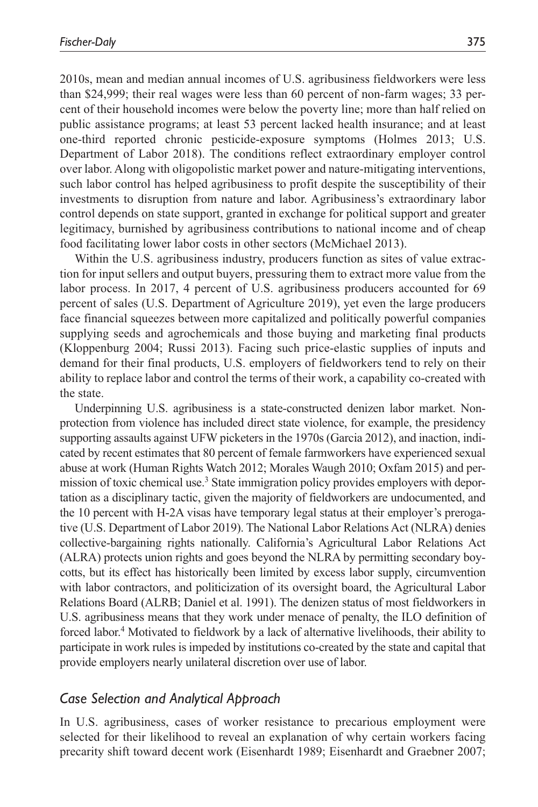2010s, mean and median annual incomes of U.S. agribusiness fieldworkers were less than \$24,999; their real wages were less than 60 percent of non-farm wages; 33 percent of their household incomes were below the poverty line; more than half relied on public assistance programs; at least 53 percent lacked health insurance; and at least one-third reported chronic pesticide-exposure symptoms (Holmes 2013; U.S. Department of Labor 2018). The conditions reflect extraordinary employer control over labor. Along with oligopolistic market power and nature-mitigating interventions, such labor control has helped agribusiness to profit despite the susceptibility of their investments to disruption from nature and labor. Agribusiness's extraordinary labor control depends on state support, granted in exchange for political support and greater legitimacy, burnished by agribusiness contributions to national income and of cheap food facilitating lower labor costs in other sectors (McMichael 2013).

Within the U.S. agribusiness industry, producers function as sites of value extraction for input sellers and output buyers, pressuring them to extract more value from the labor process. In 2017, 4 percent of U.S. agribusiness producers accounted for 69 percent of sales (U.S. Department of Agriculture 2019), yet even the large producers face financial squeezes between more capitalized and politically powerful companies supplying seeds and agrochemicals and those buying and marketing final products (Kloppenburg 2004; Russi 2013). Facing such price-elastic supplies of inputs and demand for their final products, U.S. employers of fieldworkers tend to rely on their ability to replace labor and control the terms of their work, a capability co-created with the state.

Underpinning U.S. agribusiness is a state-constructed denizen labor market. Nonprotection from violence has included direct state violence, for example, the presidency supporting assaults against UFW picketers in the 1970s (Garcia 2012), and inaction, indicated by recent estimates that 80 percent of female farmworkers have experienced sexual abuse at work (Human Rights Watch 2012; Morales Waugh 2010; Oxfam 2015) and permission of toxic chemical use.<sup>3</sup> State immigration policy provides employers with deportation as a disciplinary tactic, given the majority of fieldworkers are undocumented, and the 10 percent with H-2A visas have temporary legal status at their employer's prerogative (U.S. Department of Labor 2019). The National Labor Relations Act (NLRA) denies collective-bargaining rights nationally. California's Agricultural Labor Relations Act (ALRA) protects union rights and goes beyond the NLRA by permitting secondary boycotts, but its effect has historically been limited by excess labor supply, circumvention with labor contractors, and politicization of its oversight board, the Agricultural Labor Relations Board (ALRB; Daniel et al. 1991). The denizen status of most fieldworkers in U.S. agribusiness means that they work under menace of penalty, the ILO definition of forced labor.<sup>4</sup> Motivated to fieldwork by a lack of alternative livelihoods, their ability to participate in work rules is impeded by institutions co-created by the state and capital that provide employers nearly unilateral discretion over use of labor.

### *Case Selection and Analytical Approach*

In U.S. agribusiness, cases of worker resistance to precarious employment were selected for their likelihood to reveal an explanation of why certain workers facing precarity shift toward decent work (Eisenhardt 1989; Eisenhardt and Graebner 2007;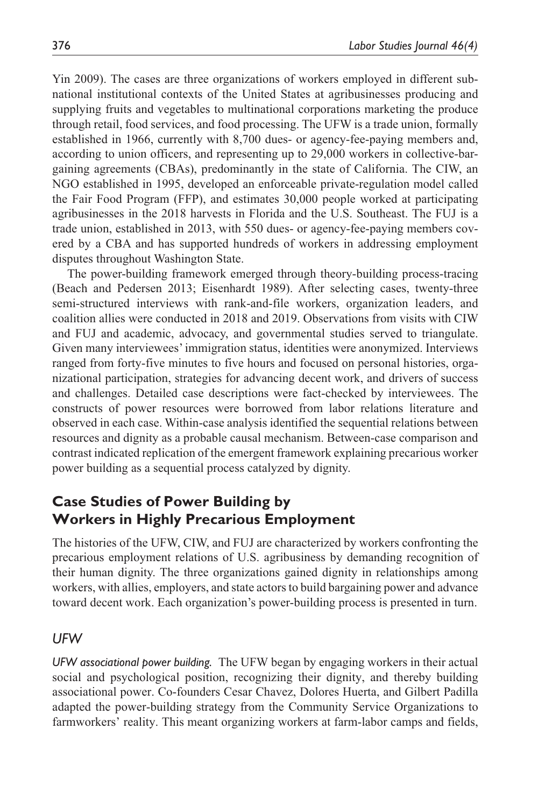Yin 2009). The cases are three organizations of workers employed in different subnational institutional contexts of the United States at agribusinesses producing and supplying fruits and vegetables to multinational corporations marketing the produce through retail, food services, and food processing. The UFW is a trade union, formally established in 1966, currently with 8,700 dues- or agency-fee-paying members and, according to union officers, and representing up to 29,000 workers in collective-bargaining agreements (CBAs), predominantly in the state of California. The CIW, an NGO established in 1995, developed an enforceable private-regulation model called the Fair Food Program (FFP), and estimates 30,000 people worked at participating agribusinesses in the 2018 harvests in Florida and the U.S. Southeast. The FUJ is a trade union, established in 2013, with 550 dues- or agency-fee-paying members covered by a CBA and has supported hundreds of workers in addressing employment disputes throughout Washington State.

The power-building framework emerged through theory-building process-tracing (Beach and Pedersen 2013; Eisenhardt 1989). After selecting cases, twenty-three semi-structured interviews with rank-and-file workers, organization leaders, and coalition allies were conducted in 2018 and 2019. Observations from visits with CIW and FUJ and academic, advocacy, and governmental studies served to triangulate. Given many interviewees' immigration status, identities were anonymized. Interviews ranged from forty-five minutes to five hours and focused on personal histories, organizational participation, strategies for advancing decent work, and drivers of success and challenges. Detailed case descriptions were fact-checked by interviewees. The constructs of power resources were borrowed from labor relations literature and observed in each case. Within-case analysis identified the sequential relations between resources and dignity as a probable causal mechanism. Between-case comparison and contrast indicated replication of the emergent framework explaining precarious worker power building as a sequential process catalyzed by dignity.

# **Case Studies of Power Building by Workers in Highly Precarious Employment**

The histories of the UFW, CIW, and FUJ are characterized by workers confronting the precarious employment relations of U.S. agribusiness by demanding recognition of their human dignity. The three organizations gained dignity in relationships among workers, with allies, employers, and state actors to build bargaining power and advance toward decent work. Each organization's power-building process is presented in turn.

### *UFW*

*UFW associational power building.* The UFW began by engaging workers in their actual social and psychological position, recognizing their dignity, and thereby building associational power. Co-founders Cesar Chavez, Dolores Huerta, and Gilbert Padilla adapted the power-building strategy from the Community Service Organizations to farmworkers' reality. This meant organizing workers at farm-labor camps and fields,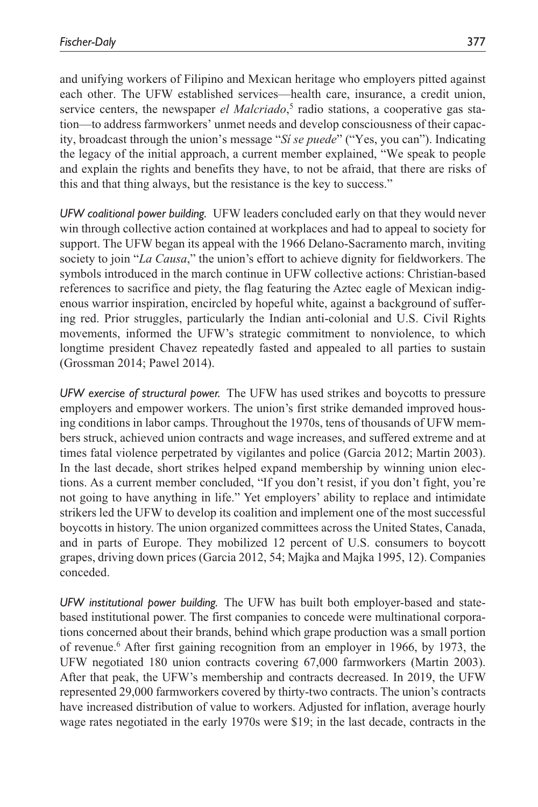and unifying workers of Filipino and Mexican heritage who employers pitted against each other. The UFW established services—health care, insurance, a credit union, service centers, the newspaper *el Malcriado*,<sup>5</sup> radio stations, a cooperative gas station—to address farmworkers' unmet needs and develop consciousness of their capacity, broadcast through the union's message "*Sí se puede*" ("Yes, you can"). Indicating the legacy of the initial approach, a current member explained, "We speak to people and explain the rights and benefits they have, to not be afraid, that there are risks of this and that thing always, but the resistance is the key to success."

*UFW coalitional power building.* UFW leaders concluded early on that they would never win through collective action contained at workplaces and had to appeal to society for support. The UFW began its appeal with the 1966 Delano-Sacramento march, inviting society to join "*La Causa*," the union's effort to achieve dignity for fieldworkers. The symbols introduced in the march continue in UFW collective actions: Christian-based references to sacrifice and piety, the flag featuring the Aztec eagle of Mexican indigenous warrior inspiration, encircled by hopeful white, against a background of suffering red. Prior struggles, particularly the Indian anti-colonial and U.S. Civil Rights movements, informed the UFW's strategic commitment to nonviolence, to which longtime president Chavez repeatedly fasted and appealed to all parties to sustain (Grossman 2014; Pawel 2014).

*UFW exercise of structural power.* The UFW has used strikes and boycotts to pressure employers and empower workers. The union's first strike demanded improved housing conditions in labor camps. Throughout the 1970s, tens of thousands of UFW members struck, achieved union contracts and wage increases, and suffered extreme and at times fatal violence perpetrated by vigilantes and police (Garcia 2012; Martin 2003). In the last decade, short strikes helped expand membership by winning union elections. As a current member concluded, "If you don't resist, if you don't fight, you're not going to have anything in life." Yet employers' ability to replace and intimidate strikers led the UFW to develop its coalition and implement one of the most successful boycotts in history. The union organized committees across the United States, Canada, and in parts of Europe. They mobilized 12 percent of U.S. consumers to boycott grapes, driving down prices (Garcia 2012, 54; Majka and Majka 1995, 12). Companies conceded.

*UFW institutional power building.* The UFW has built both employer-based and statebased institutional power. The first companies to concede were multinational corporations concerned about their brands, behind which grape production was a small portion of revenue.<sup>6</sup> After first gaining recognition from an employer in 1966, by 1973, the UFW negotiated 180 union contracts covering 67,000 farmworkers (Martin 2003). After that peak, the UFW's membership and contracts decreased. In 2019, the UFW represented 29,000 farmworkers covered by thirty-two contracts. The union's contracts have increased distribution of value to workers. Adjusted for inflation, average hourly wage rates negotiated in the early 1970s were \$19; in the last decade, contracts in the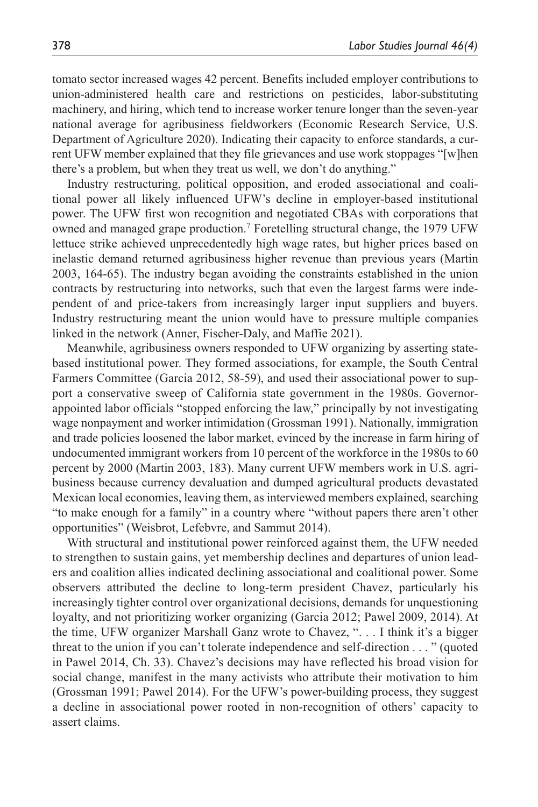tomato sector increased wages 42 percent. Benefits included employer contributions to union-administered health care and restrictions on pesticides, labor-substituting machinery, and hiring, which tend to increase worker tenure longer than the seven-year national average for agribusiness fieldworkers (Economic Research Service, U.S. Department of Agriculture 2020). Indicating their capacity to enforce standards, a current UFW member explained that they file grievances and use work stoppages "[w]hen there's a problem, but when they treat us well, we don't do anything."

Industry restructuring, political opposition, and eroded associational and coalitional power all likely influenced UFW's decline in employer-based institutional power. The UFW first won recognition and negotiated CBAs with corporations that owned and managed grape production.<sup>7</sup> Foretelling structural change, the 1979 UFW lettuce strike achieved unprecedentedly high wage rates, but higher prices based on inelastic demand returned agribusiness higher revenue than previous years (Martin 2003, 164-65). The industry began avoiding the constraints established in the union contracts by restructuring into networks, such that even the largest farms were independent of and price-takers from increasingly larger input suppliers and buyers. Industry restructuring meant the union would have to pressure multiple companies linked in the network (Anner, Fischer-Daly, and Maffie 2021).

Meanwhile, agribusiness owners responded to UFW organizing by asserting statebased institutional power. They formed associations, for example, the South Central Farmers Committee (Garcia 2012, 58-59), and used their associational power to support a conservative sweep of California state government in the 1980s. Governorappointed labor officials "stopped enforcing the law," principally by not investigating wage nonpayment and worker intimidation (Grossman 1991). Nationally, immigration and trade policies loosened the labor market, evinced by the increase in farm hiring of undocumented immigrant workers from 10 percent of the workforce in the 1980s to 60 percent by 2000 (Martin 2003, 183). Many current UFW members work in U.S. agribusiness because currency devaluation and dumped agricultural products devastated Mexican local economies, leaving them, as interviewed members explained, searching "to make enough for a family" in a country where "without papers there aren't other opportunities" (Weisbrot, Lefebvre, and Sammut 2014).

With structural and institutional power reinforced against them, the UFW needed to strengthen to sustain gains, yet membership declines and departures of union leaders and coalition allies indicated declining associational and coalitional power. Some observers attributed the decline to long-term president Chavez, particularly his increasingly tighter control over organizational decisions, demands for unquestioning loyalty, and not prioritizing worker organizing (Garcia 2012; Pawel 2009, 2014). At the time, UFW organizer Marshall Ganz wrote to Chavez, ". . . I think it's a bigger threat to the union if you can't tolerate independence and self-direction . . . " (quoted in Pawel 2014, Ch. 33). Chavez's decisions may have reflected his broad vision for social change, manifest in the many activists who attribute their motivation to him (Grossman 1991; Pawel 2014). For the UFW's power-building process, they suggest a decline in associational power rooted in non-recognition of others' capacity to assert claims.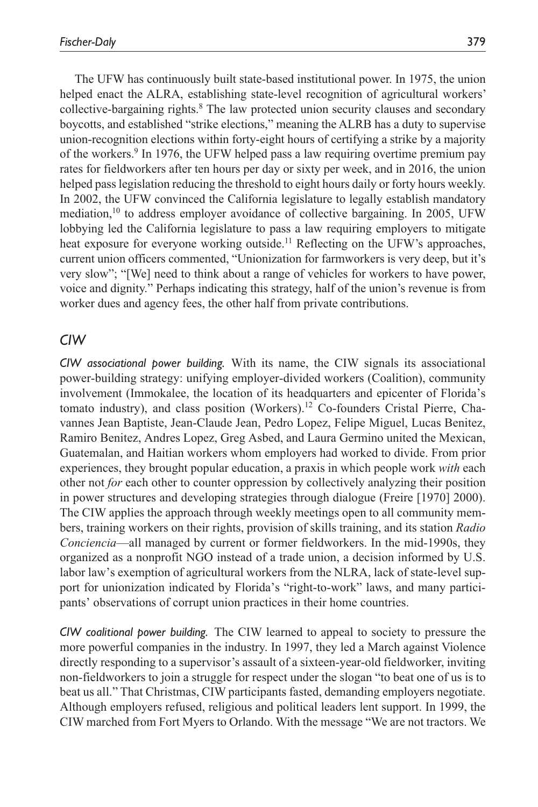The UFW has continuously built state-based institutional power. In 1975, the union helped enact the ALRA, establishing state-level recognition of agricultural workers' collective-bargaining rights.<sup>8</sup> The law protected union security clauses and secondary boycotts, and established "strike elections," meaning the ALRB has a duty to supervise union-recognition elections within forty-eight hours of certifying a strike by a majority of the workers.<sup>9</sup> In 1976, the UFW helped pass a law requiring overtime premium pay rates for fieldworkers after ten hours per day or sixty per week, and in 2016, the union helped pass legislation reducing the threshold to eight hours daily or forty hours weekly. In 2002, the UFW convinced the California legislature to legally establish mandatory mediation, $^{10}$  to address employer avoidance of collective bargaining. In 2005, UFW lobbying led the California legislature to pass a law requiring employers to mitigate heat exposure for everyone working outside.<sup>11</sup> Reflecting on the UFW's approaches, current union officers commented, "Unionization for farmworkers is very deep, but it's very slow"; "[We] need to think about a range of vehicles for workers to have power, voice and dignity." Perhaps indicating this strategy, half of the union's revenue is from worker dues and agency fees, the other half from private contributions.

### *CIW*

*CIW associational power building.* With its name, the CIW signals its associational power-building strategy: unifying employer-divided workers (Coalition), community involvement (Immokalee, the location of its headquarters and epicenter of Florida's tomato industry), and class position (Workers).<sup>12</sup> Co-founders Cristal Pierre, Chavannes Jean Baptiste, Jean-Claude Jean, Pedro Lopez, Felipe Miguel, Lucas Benitez, Ramiro Benitez, Andres Lopez, Greg Asbed, and Laura Germino united the Mexican, Guatemalan, and Haitian workers whom employers had worked to divide. From prior experiences, they brought popular education, a praxis in which people work *with* each other not *for* each other to counter oppression by collectively analyzing their position in power structures and developing strategies through dialogue (Freire [1970] 2000). The CIW applies the approach through weekly meetings open to all community members, training workers on their rights, provision of skills training, and its station *Radio Conciencia*—all managed by current or former fieldworkers. In the mid-1990s, they organized as a nonprofit NGO instead of a trade union, a decision informed by U.S. labor law's exemption of agricultural workers from the NLRA, lack of state-level support for unionization indicated by Florida's "right-to-work" laws, and many participants' observations of corrupt union practices in their home countries.

*CIW coalitional power building.* The CIW learned to appeal to society to pressure the more powerful companies in the industry. In 1997, they led a March against Violence directly responding to a supervisor's assault of a sixteen-year-old fieldworker, inviting non-fieldworkers to join a struggle for respect under the slogan "to beat one of us is to beat us all." That Christmas, CIW participants fasted, demanding employers negotiate. Although employers refused, religious and political leaders lent support. In 1999, the CIW marched from Fort Myers to Orlando. With the message "We are not tractors. We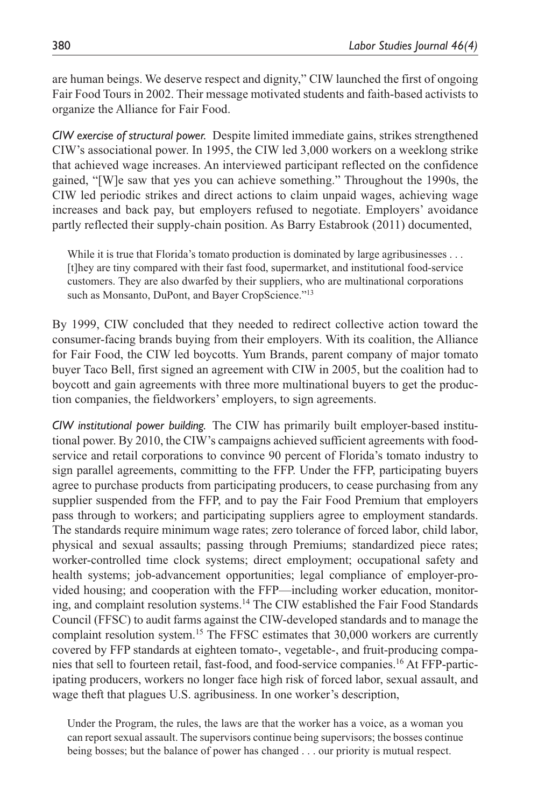are human beings. We deserve respect and dignity," CIW launched the first of ongoing Fair Food Tours in 2002. Their message motivated students and faith-based activists to organize the Alliance for Fair Food.

*CIW exercise of structural power.* Despite limited immediate gains, strikes strengthened CIW's associational power. In 1995, the CIW led 3,000 workers on a weeklong strike that achieved wage increases. An interviewed participant reflected on the confidence gained, "[W]e saw that yes you can achieve something." Throughout the 1990s, the CIW led periodic strikes and direct actions to claim unpaid wages, achieving wage increases and back pay, but employers refused to negotiate. Employers' avoidance partly reflected their supply-chain position. As Barry Estabrook (2011) documented,

While it is true that Florida's tomato production is dominated by large agribusinesses . . . [t]hey are tiny compared with their fast food, supermarket, and institutional food-service customers. They are also dwarfed by their suppliers, who are multinational corporations such as Monsanto, DuPont, and Bayer CropScience."<sup>13</sup>

By 1999, CIW concluded that they needed to redirect collective action toward the consumer-facing brands buying from their employers. With its coalition, the Alliance for Fair Food, the CIW led boycotts. Yum Brands, parent company of major tomato buyer Taco Bell, first signed an agreement with CIW in 2005, but the coalition had to boycott and gain agreements with three more multinational buyers to get the production companies, the fieldworkers' employers, to sign agreements.

*CIW institutional power building.* The CIW has primarily built employer-based institutional power. By 2010, the CIW's campaigns achieved sufficient agreements with foodservice and retail corporations to convince 90 percent of Florida's tomato industry to sign parallel agreements, committing to the FFP. Under the FFP, participating buyers agree to purchase products from participating producers, to cease purchasing from any supplier suspended from the FFP, and to pay the Fair Food Premium that employers pass through to workers; and participating suppliers agree to employment standards. The standards require minimum wage rates; zero tolerance of forced labor, child labor, physical and sexual assaults; passing through Premiums; standardized piece rates; worker-controlled time clock systems; direct employment; occupational safety and health systems; job-advancement opportunities; legal compliance of employer-provided housing; and cooperation with the FFP—including worker education, monitoring, and complaint resolution systems.14 The CIW established the Fair Food Standards Council (FFSC) to audit farms against the CIW-developed standards and to manage the complaint resolution system.15 The FFSC estimates that 30,000 workers are currently covered by FFP standards at eighteen tomato-, vegetable-, and fruit-producing companies that sell to fourteen retail, fast-food, and food-service companies.16 At FFP-participating producers, workers no longer face high risk of forced labor, sexual assault, and wage theft that plagues U.S. agribusiness. In one worker's description,

Under the Program, the rules, the laws are that the worker has a voice, as a woman you can report sexual assault. The supervisors continue being supervisors; the bosses continue being bosses; but the balance of power has changed . . . our priority is mutual respect.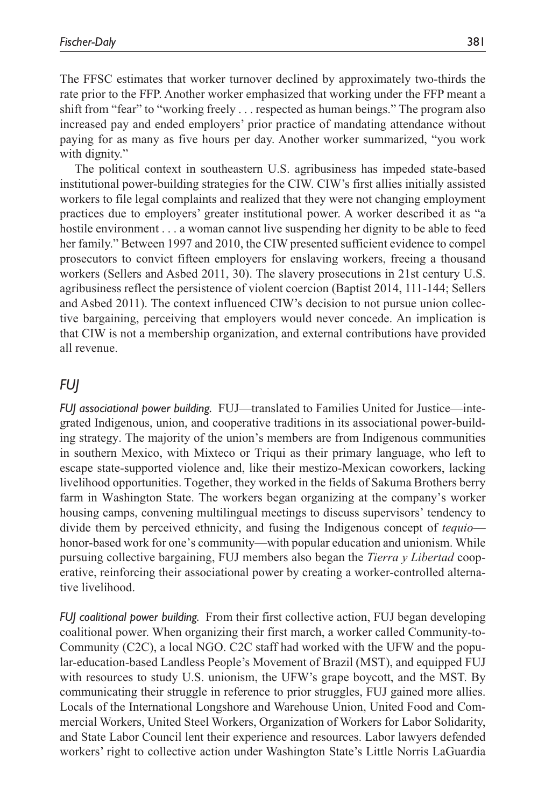The FFSC estimates that worker turnover declined by approximately two-thirds the rate prior to the FFP. Another worker emphasized that working under the FFP meant a shift from "fear" to "working freely . . . respected as human beings." The program also increased pay and ended employers' prior practice of mandating attendance without paying for as many as five hours per day. Another worker summarized, "you work with dignity."

The political context in southeastern U.S. agribusiness has impeded state-based institutional power-building strategies for the CIW. CIW's first allies initially assisted workers to file legal complaints and realized that they were not changing employment practices due to employers' greater institutional power. A worker described it as "a hostile environment . . . a woman cannot live suspending her dignity to be able to feed her family." Between 1997 and 2010, the CIW presented sufficient evidence to compel prosecutors to convict fifteen employers for enslaving workers, freeing a thousand workers (Sellers and Asbed 2011, 30). The slavery prosecutions in 21st century U.S. agribusiness reflect the persistence of violent coercion (Baptist 2014, 111-144; Sellers and Asbed 2011). The context influenced CIW's decision to not pursue union collective bargaining, perceiving that employers would never concede. An implication is that CIW is not a membership organization, and external contributions have provided all revenue.

# *FUJ*

*FUJ associational power building.* FUJ—translated to Families United for Justice—integrated Indigenous, union, and cooperative traditions in its associational power-building strategy. The majority of the union's members are from Indigenous communities in southern Mexico, with Mixteco or Triqui as their primary language, who left to escape state-supported violence and, like their mestizo-Mexican coworkers, lacking livelihood opportunities. Together, they worked in the fields of Sakuma Brothers berry farm in Washington State. The workers began organizing at the company's worker housing camps, convening multilingual meetings to discuss supervisors' tendency to divide them by perceived ethnicity, and fusing the Indigenous concept of *tequio* honor-based work for one's community—with popular education and unionism. While pursuing collective bargaining, FUJ members also began the *Tierra y Libertad* cooperative, reinforcing their associational power by creating a worker-controlled alternative livelihood.

*FUJ coalitional power building.* From their first collective action, FUJ began developing coalitional power. When organizing their first march, a worker called Community-to-Community (C2C), a local NGO. C2C staff had worked with the UFW and the popular-education-based Landless People's Movement of Brazil (MST), and equipped FUJ with resources to study U.S. unionism, the UFW's grape boycott, and the MST. By communicating their struggle in reference to prior struggles, FUJ gained more allies. Locals of the International Longshore and Warehouse Union, United Food and Commercial Workers, United Steel Workers, Organization of Workers for Labor Solidarity, and State Labor Council lent their experience and resources. Labor lawyers defended workers' right to collective action under Washington State's Little Norris LaGuardia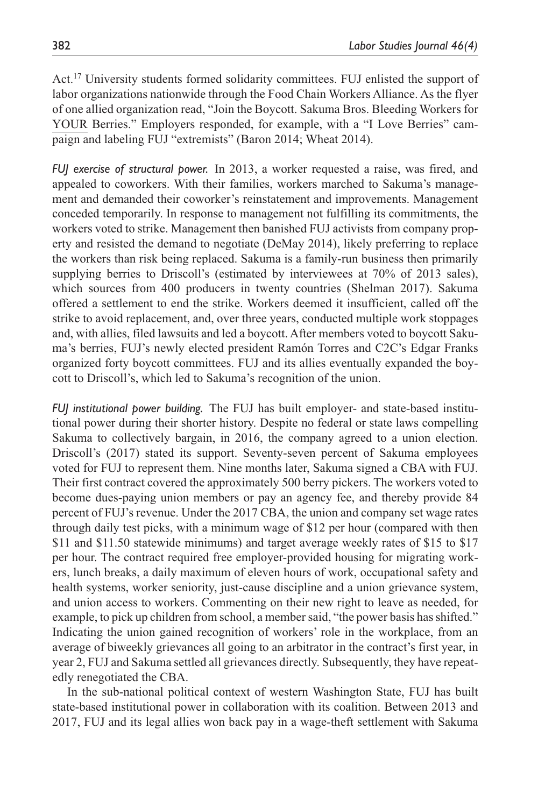Act.17 University students formed solidarity committees. FUJ enlisted the support of labor organizations nationwide through the Food Chain Workers Alliance. As the flyer of one allied organization read, "Join the Boycott. Sakuma Bros. Bleeding Workers for YOUR Berries." Employers responded, for example, with a "I Love Berries" campaign and labeling FUJ "extremists" (Baron 2014; Wheat 2014).

*FUJ exercise of structural power.* In 2013, a worker requested a raise, was fired, and appealed to coworkers. With their families, workers marched to Sakuma's management and demanded their coworker's reinstatement and improvements. Management conceded temporarily. In response to management not fulfilling its commitments, the workers voted to strike. Management then banished FUJ activists from company property and resisted the demand to negotiate (DeMay 2014), likely preferring to replace the workers than risk being replaced. Sakuma is a family-run business then primarily supplying berries to Driscoll's (estimated by interviewees at 70% of 2013 sales), which sources from 400 producers in twenty countries (Shelman 2017). Sakuma offered a settlement to end the strike. Workers deemed it insufficient, called off the strike to avoid replacement, and, over three years, conducted multiple work stoppages and, with allies, filed lawsuits and led a boycott. After members voted to boycott Sakuma's berries, FUJ's newly elected president Ramón Torres and C2C's Edgar Franks organized forty boycott committees. FUJ and its allies eventually expanded the boycott to Driscoll's, which led to Sakuma's recognition of the union.

*FUJ institutional power building.* The FUJ has built employer- and state-based institutional power during their shorter history. Despite no federal or state laws compelling Sakuma to collectively bargain, in 2016, the company agreed to a union election. Driscoll's (2017) stated its support. Seventy-seven percent of Sakuma employees voted for FUJ to represent them. Nine months later, Sakuma signed a CBA with FUJ. Their first contract covered the approximately 500 berry pickers. The workers voted to become dues-paying union members or pay an agency fee, and thereby provide 84 percent of FUJ's revenue. Under the 2017 CBA, the union and company set wage rates through daily test picks, with a minimum wage of \$12 per hour (compared with then \$11 and \$11.50 statewide minimums) and target average weekly rates of \$15 to \$17 per hour. The contract required free employer-provided housing for migrating workers, lunch breaks, a daily maximum of eleven hours of work, occupational safety and health systems, worker seniority, just-cause discipline and a union grievance system, and union access to workers. Commenting on their new right to leave as needed, for example, to pick up children from school, a member said, "the power basis has shifted." Indicating the union gained recognition of workers' role in the workplace, from an average of biweekly grievances all going to an arbitrator in the contract's first year, in year 2, FUJ and Sakuma settled all grievances directly. Subsequently, they have repeatedly renegotiated the CBA.

In the sub-national political context of western Washington State, FUJ has built state-based institutional power in collaboration with its coalition. Between 2013 and 2017, FUJ and its legal allies won back pay in a wage-theft settlement with Sakuma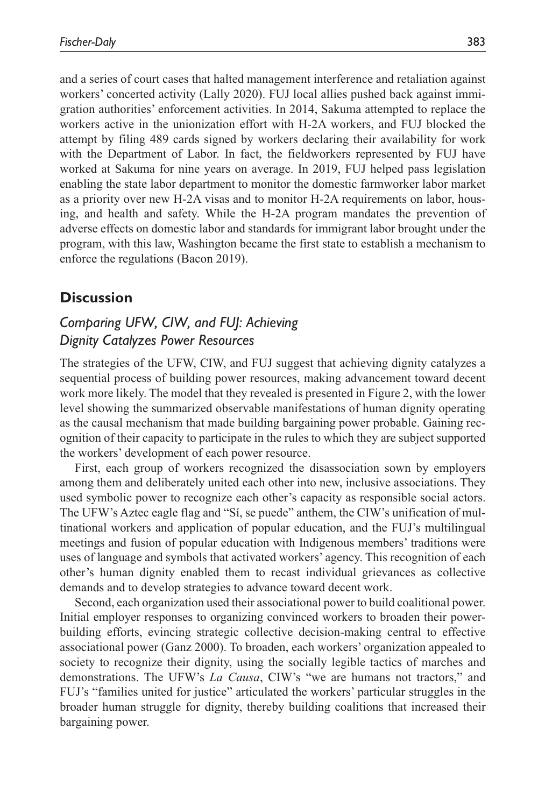and a series of court cases that halted management interference and retaliation against workers' concerted activity (Lally 2020). FUJ local allies pushed back against immigration authorities' enforcement activities. In 2014, Sakuma attempted to replace the workers active in the unionization effort with H-2A workers, and FUJ blocked the attempt by filing 489 cards signed by workers declaring their availability for work with the Department of Labor. In fact, the fieldworkers represented by FUJ have worked at Sakuma for nine years on average. In 2019, FUJ helped pass legislation enabling the state labor department to monitor the domestic farmworker labor market as a priority over new H-2A visas and to monitor H-2A requirements on labor, housing, and health and safety. While the H-2A program mandates the prevention of adverse effects on domestic labor and standards for immigrant labor brought under the program, with this law, Washington became the first state to establish a mechanism to enforce the regulations (Bacon 2019).

# **Discussion**

# *Comparing UFW, CIW, and FUJ: Achieving Dignity Catalyzes Power Resources*

The strategies of the UFW, CIW, and FUJ suggest that achieving dignity catalyzes a sequential process of building power resources, making advancement toward decent work more likely. The model that they revealed is presented in Figure 2, with the lower level showing the summarized observable manifestations of human dignity operating as the causal mechanism that made building bargaining power probable. Gaining recognition of their capacity to participate in the rules to which they are subject supported the workers' development of each power resource.

First, each group of workers recognized the disassociation sown by employers among them and deliberately united each other into new, inclusive associations. They used symbolic power to recognize each other's capacity as responsible social actors. The UFW's Aztec eagle flag and "Sí, se puede" anthem, the CIW's unification of multinational workers and application of popular education, and the FUJ's multilingual meetings and fusion of popular education with Indigenous members' traditions were uses of language and symbols that activated workers' agency. This recognition of each other's human dignity enabled them to recast individual grievances as collective demands and to develop strategies to advance toward decent work.

Second, each organization used their associational power to build coalitional power. Initial employer responses to organizing convinced workers to broaden their powerbuilding efforts, evincing strategic collective decision-making central to effective associational power (Ganz 2000). To broaden, each workers' organization appealed to society to recognize their dignity, using the socially legible tactics of marches and demonstrations. The UFW's *La Causa*, CIW's "we are humans not tractors," and FUJ's "families united for justice" articulated the workers' particular struggles in the broader human struggle for dignity, thereby building coalitions that increased their bargaining power.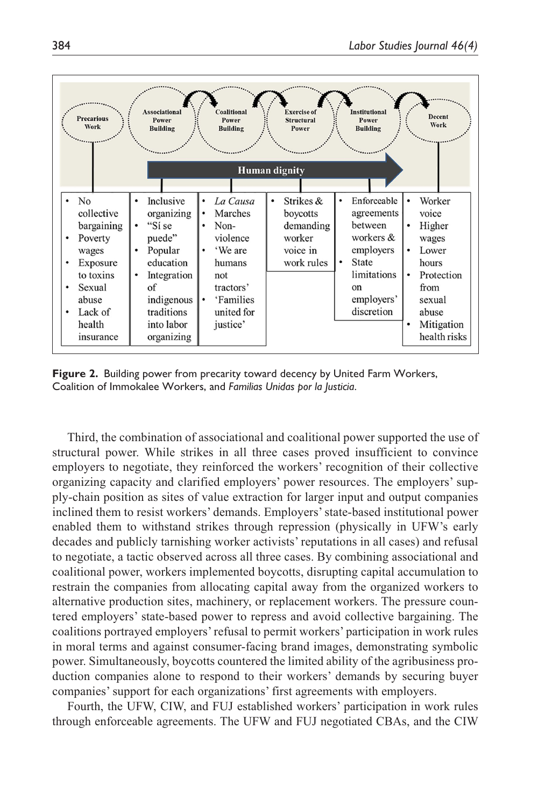

**Figure 2.** Building power from precarity toward decency by United Farm Workers, Coalition of Immokalee Workers, and *Familias Unidas por la Justicia*.

Third, the combination of associational and coalitional power supported the use of structural power. While strikes in all three cases proved insufficient to convince employers to negotiate, they reinforced the workers' recognition of their collective organizing capacity and clarified employers' power resources. The employers' supply-chain position as sites of value extraction for larger input and output companies inclined them to resist workers' demands. Employers' state-based institutional power enabled them to withstand strikes through repression (physically in UFW's early decades and publicly tarnishing worker activists' reputations in all cases) and refusal to negotiate, a tactic observed across all three cases. By combining associational and coalitional power, workers implemented boycotts, disrupting capital accumulation to restrain the companies from allocating capital away from the organized workers to alternative production sites, machinery, or replacement workers. The pressure countered employers' state-based power to repress and avoid collective bargaining. The coalitions portrayed employers' refusal to permit workers' participation in work rules in moral terms and against consumer-facing brand images, demonstrating symbolic power. Simultaneously, boycotts countered the limited ability of the agribusiness production companies alone to respond to their workers' demands by securing buyer companies' support for each organizations' first agreements with employers.

Fourth, the UFW, CIW, and FUJ established workers' participation in work rules through enforceable agreements. The UFW and FUJ negotiated CBAs, and the CIW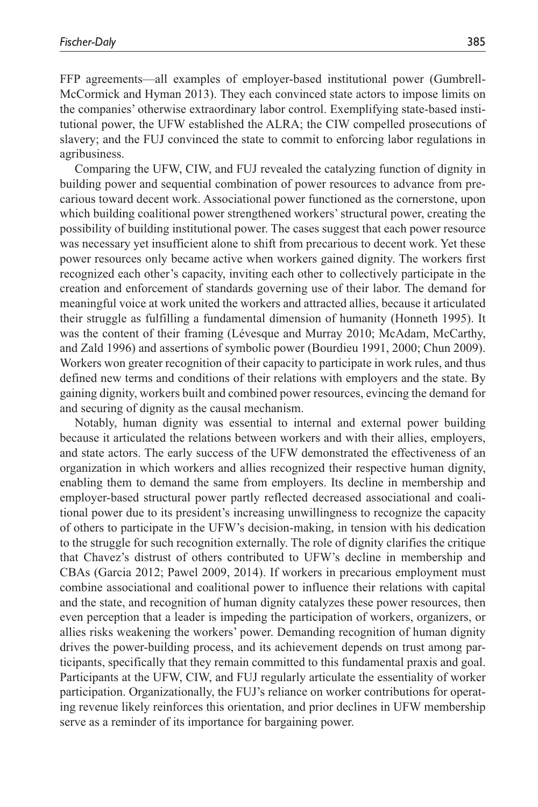FFP agreements—all examples of employer-based institutional power (Gumbrell-McCormick and Hyman 2013). They each convinced state actors to impose limits on the companies' otherwise extraordinary labor control. Exemplifying state-based institutional power, the UFW established the ALRA; the CIW compelled prosecutions of slavery; and the FUJ convinced the state to commit to enforcing labor regulations in agribusiness.

Comparing the UFW, CIW, and FUJ revealed the catalyzing function of dignity in building power and sequential combination of power resources to advance from precarious toward decent work. Associational power functioned as the cornerstone, upon which building coalitional power strengthened workers' structural power, creating the possibility of building institutional power. The cases suggest that each power resource was necessary yet insufficient alone to shift from precarious to decent work. Yet these power resources only became active when workers gained dignity. The workers first recognized each other's capacity, inviting each other to collectively participate in the creation and enforcement of standards governing use of their labor. The demand for meaningful voice at work united the workers and attracted allies, because it articulated their struggle as fulfilling a fundamental dimension of humanity (Honneth 1995). It was the content of their framing (Lévesque and Murray 2010; McAdam, McCarthy, and Zald 1996) and assertions of symbolic power (Bourdieu 1991, 2000; Chun 2009). Workers won greater recognition of their capacity to participate in work rules, and thus defined new terms and conditions of their relations with employers and the state. By gaining dignity, workers built and combined power resources, evincing the demand for and securing of dignity as the causal mechanism.

Notably, human dignity was essential to internal and external power building because it articulated the relations between workers and with their allies, employers, and state actors. The early success of the UFW demonstrated the effectiveness of an organization in which workers and allies recognized their respective human dignity, enabling them to demand the same from employers. Its decline in membership and employer-based structural power partly reflected decreased associational and coalitional power due to its president's increasing unwillingness to recognize the capacity of others to participate in the UFW's decision-making, in tension with his dedication to the struggle for such recognition externally. The role of dignity clarifies the critique that Chavez's distrust of others contributed to UFW's decline in membership and CBAs (Garcia 2012; Pawel 2009, 2014). If workers in precarious employment must combine associational and coalitional power to influence their relations with capital and the state, and recognition of human dignity catalyzes these power resources, then even perception that a leader is impeding the participation of workers, organizers, or allies risks weakening the workers' power. Demanding recognition of human dignity drives the power-building process, and its achievement depends on trust among participants, specifically that they remain committed to this fundamental praxis and goal. Participants at the UFW, CIW, and FUJ regularly articulate the essentiality of worker participation. Organizationally, the FUJ's reliance on worker contributions for operating revenue likely reinforces this orientation, and prior declines in UFW membership serve as a reminder of its importance for bargaining power.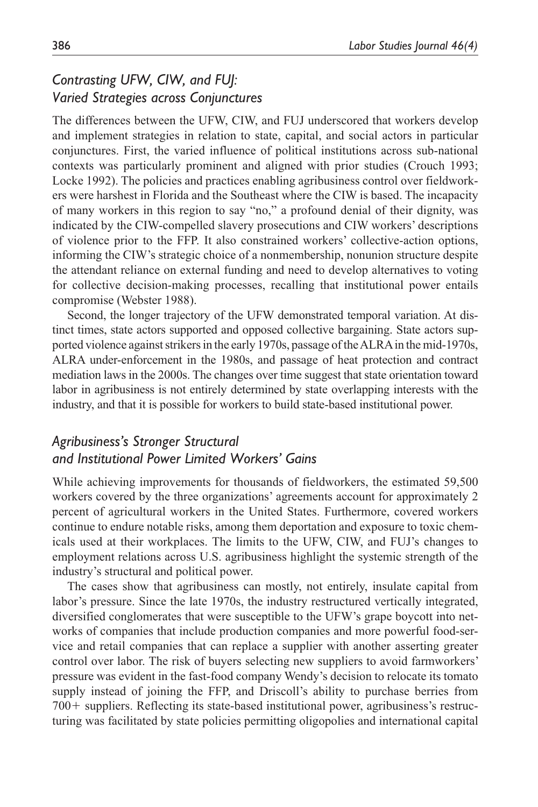# *Contrasting UFW, CIW, and FUJ: Varied Strategies across Conjunctures*

The differences between the UFW, CIW, and FUJ underscored that workers develop and implement strategies in relation to state, capital, and social actors in particular conjunctures. First, the varied influence of political institutions across sub-national contexts was particularly prominent and aligned with prior studies (Crouch 1993; Locke 1992). The policies and practices enabling agribusiness control over fieldworkers were harshest in Florida and the Southeast where the CIW is based. The incapacity of many workers in this region to say "no," a profound denial of their dignity, was indicated by the CIW-compelled slavery prosecutions and CIW workers' descriptions of violence prior to the FFP. It also constrained workers' collective-action options, informing the CIW's strategic choice of a nonmembership, nonunion structure despite the attendant reliance on external funding and need to develop alternatives to voting for collective decision-making processes, recalling that institutional power entails compromise (Webster 1988).

Second, the longer trajectory of the UFW demonstrated temporal variation. At distinct times, state actors supported and opposed collective bargaining. State actors supported violence against strikers in the early 1970s, passage of the ALRA in the mid-1970s, ALRA under-enforcement in the 1980s, and passage of heat protection and contract mediation laws in the 2000s. The changes over time suggest that state orientation toward labor in agribusiness is not entirely determined by state overlapping interests with the industry, and that it is possible for workers to build state-based institutional power.

# *Agribusiness's Stronger Structural and Institutional Power Limited Workers' Gains*

While achieving improvements for thousands of fieldworkers, the estimated 59,500 workers covered by the three organizations' agreements account for approximately 2 percent of agricultural workers in the United States. Furthermore, covered workers continue to endure notable risks, among them deportation and exposure to toxic chemicals used at their workplaces. The limits to the UFW, CIW, and FUJ's changes to employment relations across U.S. agribusiness highlight the systemic strength of the industry's structural and political power.

The cases show that agribusiness can mostly, not entirely, insulate capital from labor's pressure. Since the late 1970s, the industry restructured vertically integrated, diversified conglomerates that were susceptible to the UFW's grape boycott into networks of companies that include production companies and more powerful food-service and retail companies that can replace a supplier with another asserting greater control over labor. The risk of buyers selecting new suppliers to avoid farmworkers' pressure was evident in the fast-food company Wendy's decision to relocate its tomato supply instead of joining the FFP, and Driscoll's ability to purchase berries from 700+ suppliers. Reflecting its state-based institutional power, agribusiness's restructuring was facilitated by state policies permitting oligopolies and international capital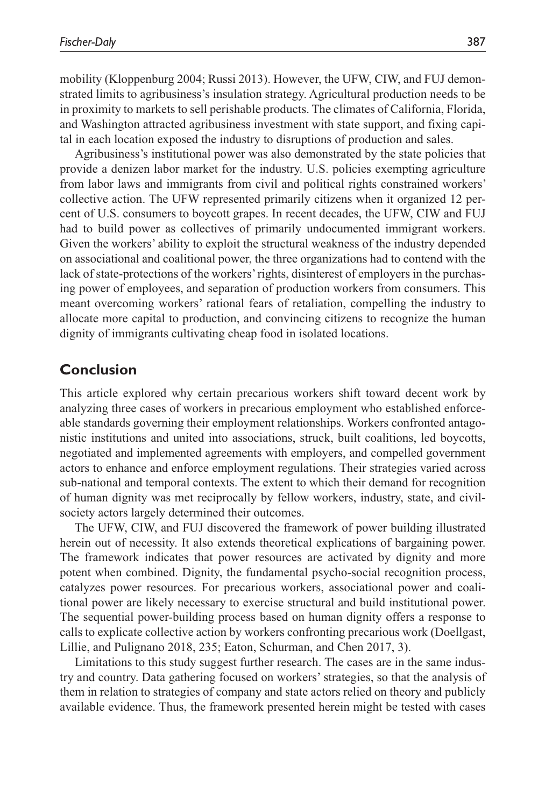mobility (Kloppenburg 2004; Russi 2013). However, the UFW, CIW, and FUJ demonstrated limits to agribusiness's insulation strategy. Agricultural production needs to be in proximity to markets to sell perishable products. The climates of California, Florida, and Washington attracted agribusiness investment with state support, and fixing capital in each location exposed the industry to disruptions of production and sales.

Agribusiness's institutional power was also demonstrated by the state policies that provide a denizen labor market for the industry. U.S. policies exempting agriculture from labor laws and immigrants from civil and political rights constrained workers' collective action. The UFW represented primarily citizens when it organized 12 percent of U.S. consumers to boycott grapes. In recent decades, the UFW, CIW and FUJ had to build power as collectives of primarily undocumented immigrant workers. Given the workers' ability to exploit the structural weakness of the industry depended on associational and coalitional power, the three organizations had to contend with the lack of state-protections of the workers' rights, disinterest of employers in the purchasing power of employees, and separation of production workers from consumers. This meant overcoming workers' rational fears of retaliation, compelling the industry to allocate more capital to production, and convincing citizens to recognize the human dignity of immigrants cultivating cheap food in isolated locations.

# **Conclusion**

This article explored why certain precarious workers shift toward decent work by analyzing three cases of workers in precarious employment who established enforceable standards governing their employment relationships. Workers confronted antagonistic institutions and united into associations, struck, built coalitions, led boycotts, negotiated and implemented agreements with employers, and compelled government actors to enhance and enforce employment regulations. Their strategies varied across sub-national and temporal contexts. The extent to which their demand for recognition of human dignity was met reciprocally by fellow workers, industry, state, and civilsociety actors largely determined their outcomes.

The UFW, CIW, and FUJ discovered the framework of power building illustrated herein out of necessity. It also extends theoretical explications of bargaining power. The framework indicates that power resources are activated by dignity and more potent when combined. Dignity, the fundamental psycho-social recognition process, catalyzes power resources. For precarious workers, associational power and coalitional power are likely necessary to exercise structural and build institutional power. The sequential power-building process based on human dignity offers a response to calls to explicate collective action by workers confronting precarious work (Doellgast, Lillie, and Pulignano 2018, 235; Eaton, Schurman, and Chen 2017, 3).

Limitations to this study suggest further research. The cases are in the same industry and country. Data gathering focused on workers' strategies, so that the analysis of them in relation to strategies of company and state actors relied on theory and publicly available evidence. Thus, the framework presented herein might be tested with cases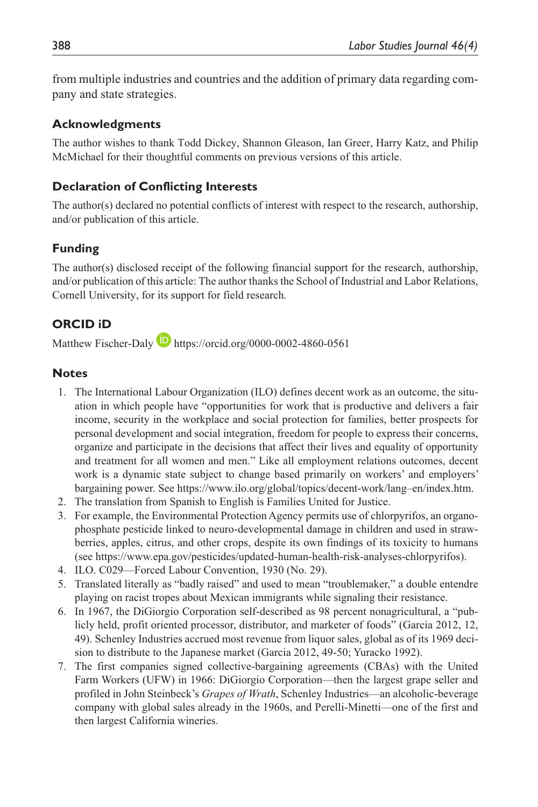from multiple industries and countries and the addition of primary data regarding company and state strategies.

#### **Acknowledgments**

The author wishes to thank Todd Dickey, Shannon Gleason, Ian Greer, Harry Katz, and Philip McMichael for their thoughtful comments on previous versions of this article.

#### **Declaration of Conflicting Interests**

The author(s) declared no potential conflicts of interest with respect to the research, authorship, and/or publication of this article.

### **Funding**

The author(s) disclosed receipt of the following financial support for the research, authorship, and/or publication of this article: The author thanks the School of Industrial and Labor Relations, Cornell University, for its support for field research.

### **ORCID iD**

Matthew Fischer-Daly **D** <https://orcid.org/0000-0002-4860-0561>

#### **Notes**

- 1. The International Labour Organization (ILO) defines decent work as an outcome, the situation in which people have "opportunities for work that is productive and delivers a fair income, security in the workplace and social protection for families, better prospects for personal development and social integration, freedom for people to express their concerns, organize and participate in the decisions that affect their lives and equality of opportunity and treatment for all women and men." Like all employment relations outcomes, decent work is a dynamic state subject to change based primarily on workers' and employers' bargaining power. See [https://www.ilo.org/global/topics/decent-work/lang–](https://www.ilo.org/global/topics/decent-work/lang)en/index.htm.
- 2. The translation from Spanish to English is Families United for Justice.
- 3. For example, the Environmental Protection Agency permits use of chlorpyrifos, an organophosphate pesticide linked to neuro-developmental damage in children and used in strawberries, apples, citrus, and other crops, despite its own findings of its toxicity to humans (see [https://www.epa.gov/pesticides/updated-human-health-risk-analyses-chlorpyrifos\)](https://www.epa.gov/pesticides/updated-human-health-risk-analyses-chlorpyrifos).
- 4. ILO. C029—Forced Labour Convention, 1930 (No. 29).
- 5. Translated literally as "badly raised" and used to mean "troublemaker," a double entendre playing on racist tropes about Mexican immigrants while signaling their resistance.
- 6. In 1967, the DiGiorgio Corporation self-described as 98 percent nonagricultural, a "publicly held, profit oriented processor, distributor, and marketer of foods" (Garcia 2012, 12, 49). Schenley Industries accrued most revenue from liquor sales, global as of its 1969 decision to distribute to the Japanese market (Garcia 2012, 49-50; Yuracko 1992).
- 7. The first companies signed collective-bargaining agreements (CBAs) with the United Farm Workers (UFW) in 1966: DiGiorgio Corporation—then the largest grape seller and profiled in John Steinbeck's *Grapes of Wrath*, Schenley Industries—an alcoholic-beverage company with global sales already in the 1960s, and Perelli-Minetti—one of the first and then largest California wineries.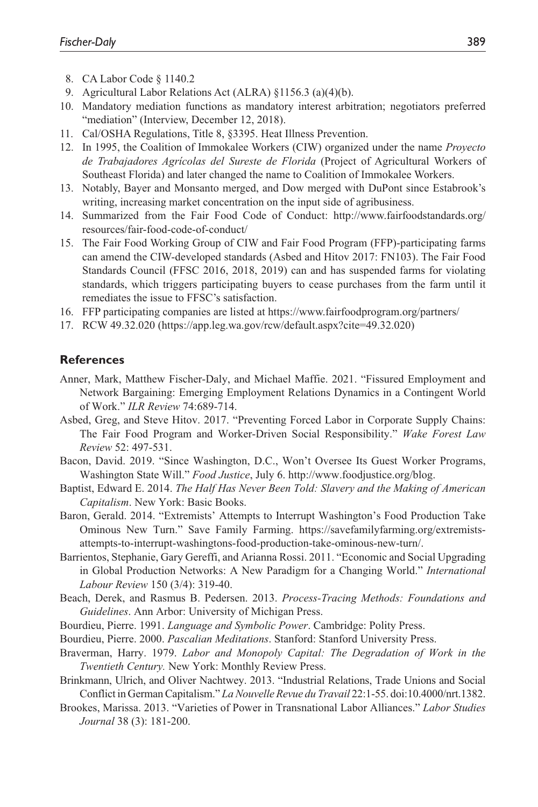- 8. CA Labor Code § 1140.2
- 9. Agricultural Labor Relations Act (ALRA) §1156.3 (a)(4)(b).
- 10. Mandatory mediation functions as mandatory interest arbitration; negotiators preferred "mediation" (Interview, December 12, 2018).
- 11. Cal/OSHA Regulations, Title 8, §3395. Heat Illness Prevention.
- 12. In 1995, the Coalition of Immokalee Workers (CIW) organized under the name *Proyecto de Trabajadores Agrícolas del Sureste de Florida* (Project of Agricultural Workers of Southeast Florida) and later changed the name to Coalition of Immokalee Workers.
- 13. Notably, Bayer and Monsanto merged, and Dow merged with DuPont since Estabrook's writing, increasing market concentration on the input side of agribusiness.
- 14. Summarized from the Fair Food Code of Conduct: [http://www.fairfoodstandards.org/](http://www.fairfoodstandards.org/resources/fair-food-code-of-conduct/) [resources/fair-food-code-of-conduct/](http://www.fairfoodstandards.org/resources/fair-food-code-of-conduct/)
- 15. The Fair Food Working Group of CIW and Fair Food Program (FFP)-participating farms can amend the CIW-developed standards (Asbed and Hitov 2017: FN103). The Fair Food Standards Council (FFSC 2016, 2018, 2019) can and has suspended farms for violating standards, which triggers participating buyers to cease purchases from the farm until it remediates the issue to FFSC's satisfaction.
- 16. FFP participating companies are listed at<https://www.fairfoodprogram.org/partners/>
- 17. RCW 49.32.020 ([https://app.leg.wa.gov/rcw/default.aspx?cite=49.32.020\)](https://app.leg.wa.gov/rcw/default.aspx?cite=49.32.020)

#### **References**

- Anner, Mark, Matthew Fischer-Daly, and Michael Maffie. 2021. "Fissured Employment and Network Bargaining: Emerging Employment Relations Dynamics in a Contingent World of Work." *ILR Review* 74:689-714.
- Asbed, Greg, and Steve Hitov. 2017. "Preventing Forced Labor in Corporate Supply Chains: The Fair Food Program and Worker-Driven Social Responsibility." *Wake Forest Law Review* 52: 497-531.
- Bacon, David. 2019. "Since Washington, D.C., Won't Oversee Its Guest Worker Programs, Washington State Will." *Food Justice*, July 6.<http://www.foodjustice.org/blog>.
- Baptist, Edward E. 2014. *The Half Has Never Been Told: Slavery and the Making of American Capitalism*. New York: Basic Books.
- Baron, Gerald. 2014. "Extremists' Attempts to Interrupt Washington's Food Production Take Ominous New Turn." Save Family Farming. [https://savefamilyfarming.org/extremists](https://savefamilyfarming.org/extremists-attempts-to-interrupt-washingtons-food-production-take-ominous-new-turn/)[attempts-to-interrupt-washingtons-food-production-take-ominous-new-turn/.](https://savefamilyfarming.org/extremists-attempts-to-interrupt-washingtons-food-production-take-ominous-new-turn/)
- Barrientos, Stephanie, Gary Gereffi, and Arianna Rossi. 2011. "Economic and Social Upgrading in Global Production Networks: A New Paradigm for a Changing World." *International Labour Review* 150 (3/4): 319-40.
- Beach, Derek, and Rasmus B. Pedersen. 2013. *Process-Tracing Methods: Foundations and Guidelines*. Ann Arbor: University of Michigan Press.
- Bourdieu, Pierre. 1991. *Language and Symbolic Power*. Cambridge: Polity Press.
- Bourdieu, Pierre. 2000. *Pascalian Meditations*. Stanford: Stanford University Press.
- Braverman, Harry. 1979. *Labor and Monopoly Capital: The Degradation of Work in the Twentieth Century.* New York: Monthly Review Press.
- Brinkmann, Ulrich, and Oliver Nachtwey. 2013. "Industrial Relations, Trade Unions and Social Conflict in German Capitalism." *La Nouvelle Revue du Travail* 22:1-55. doi:10.4000/nrt.1382.
- Brookes, Marissa. 2013. "Varieties of Power in Transnational Labor Alliances." *Labor Studies Journal* 38 (3): 181-200.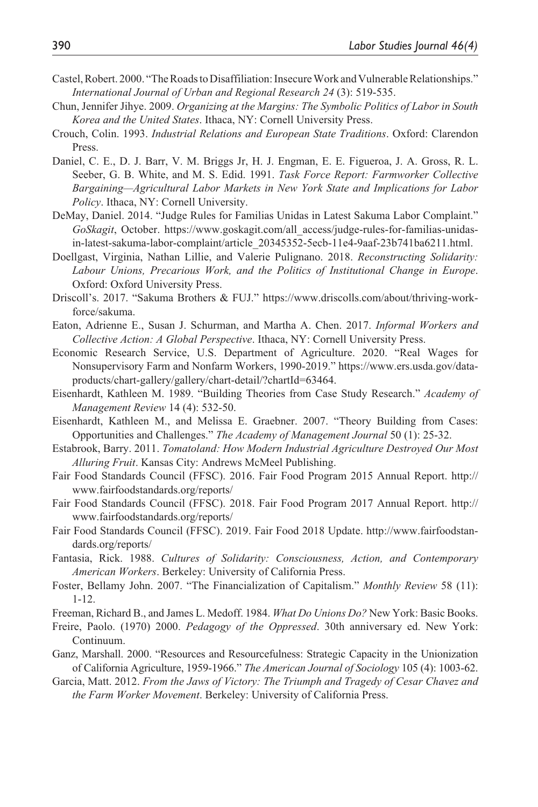- Castel, Robert. 2000. "The Roads to Disaffiliation: Insecure Work and Vulnerable Relationships." *International Journal of Urban and Regional Research 24* (3): 519-535.
- Chun, Jennifer Jihye. 2009. *Organizing at the Margins: The Symbolic Politics of Labor in South Korea and the United States*. Ithaca, NY: Cornell University Press.
- Crouch, Colin. 1993. *Industrial Relations and European State Traditions*. Oxford: Clarendon Press.
- Daniel, C. E., D. J. Barr, V. M. Briggs Jr, H. J. Engman, E. E. Figueroa, J. A. Gross, R. L. Seeber, G. B. White, and M. S. Edid. 1991. *Task Force Report: Farmworker Collective Bargaining—Agricultural Labor Markets in New York State and Implications for Labor Policy*. Ithaca, NY: Cornell University.
- DeMay, Daniel. 2014. "Judge Rules for Familias Unidas in Latest Sakuma Labor Complaint." *GoSkagit*, October. [https://www.goskagit.com/all\\_access/judge-rules-for-familias-unidas](https://www.goskagit.com/all_access/judge-rules-for-familias-unidas-in-latest-sakuma-labor-complaint/article_20345352-5ecb-11e4-9aaf-23b741ba6211.html)[in-latest-sakuma-labor-complaint/article\\_20345352-5ecb-11e4-9aaf-23b741ba6211.html.](https://www.goskagit.com/all_access/judge-rules-for-familias-unidas-in-latest-sakuma-labor-complaint/article_20345352-5ecb-11e4-9aaf-23b741ba6211.html)
- Doellgast, Virginia, Nathan Lillie, and Valerie Pulignano. 2018. *Reconstructing Solidarity: Labour Unions, Precarious Work, and the Politics of Institutional Change in Europe*. Oxford: Oxford University Press.
- Driscoll's. 2017. "Sakuma Brothers & FUJ." [https://www.driscolls.com/about/thriving-work](https://www.driscolls.com/about/thriving-workforce/sakuma)[force/sakuma](https://www.driscolls.com/about/thriving-workforce/sakuma).
- Eaton, Adrienne E., Susan J. Schurman, and Martha A. Chen. 2017. *Informal Workers and Collective Action: A Global Perspective*. Ithaca, NY: Cornell University Press.
- Economic Research Service, U.S. Department of Agriculture. 2020. "Real Wages for Nonsupervisory Farm and Nonfarm Workers, 1990-2019." [https://www.ers.usda.gov/data](https://www.ers.usda.gov/data-products/chart-gallery/gallery/chart-detail/?chartId=63464)[products/chart-gallery/gallery/chart-detail/?chartId=63464](https://www.ers.usda.gov/data-products/chart-gallery/gallery/chart-detail/?chartId=63464).
- Eisenhardt, Kathleen M. 1989. "Building Theories from Case Study Research." *Academy of Management Review* 14 (4): 532-50.
- Eisenhardt, Kathleen M., and Melissa E. Graebner. 2007. "Theory Building from Cases: Opportunities and Challenges." *The Academy of Management Journal* 50 (1): 25-32.
- Estabrook, Barry. 2011. *Tomatoland: How Modern Industrial Agriculture Destroyed Our Most Alluring Fruit*. Kansas City: Andrews McMeel Publishing.
- Fair Food Standards Council (FFSC). 2016. Fair Food Program 2015 Annual Report. [http://](http://www.fairfoodstandards.org/reports/) [www.fairfoodstandards.org/reports/](http://www.fairfoodstandards.org/reports/)
- Fair Food Standards Council (FFSC). 2018. Fair Food Program 2017 Annual Report. [http://](http://www.fairfoodstandards.org/reports/) [www.fairfoodstandards.org/reports/](http://www.fairfoodstandards.org/reports/)
- Fair Food Standards Council (FFSC). 2019. Fair Food 2018 Update. [http://www.fairfoodstan](http://www.fairfoodstandards.org/reports/)[dards.org/reports/](http://www.fairfoodstandards.org/reports/)
- Fantasia, Rick. 1988. *Cultures of Solidarity: Consciousness, Action, and Contemporary American Workers*. Berkeley: University of California Press.
- Foster, Bellamy John. 2007. "The Financialization of Capitalism." *Monthly Review* 58 (11): 1-12.
- Freeman, Richard B., and James L. Medoff. 1984. *What Do Unions Do?* New York: Basic Books.
- Freire, Paolo. (1970) 2000. *Pedagogy of the Oppressed*. 30th anniversary ed. New York: Continuum.
- Ganz, Marshall. 2000. "Resources and Resourcefulness: Strategic Capacity in the Unionization of California Agriculture, 1959-1966." *The American Journal of Sociology* 105 (4): 1003-62.
- Garcia, Matt. 2012. *From the Jaws of Victory: The Triumph and Tragedy of Cesar Chavez and the Farm Worker Movement*. Berkeley: University of California Press.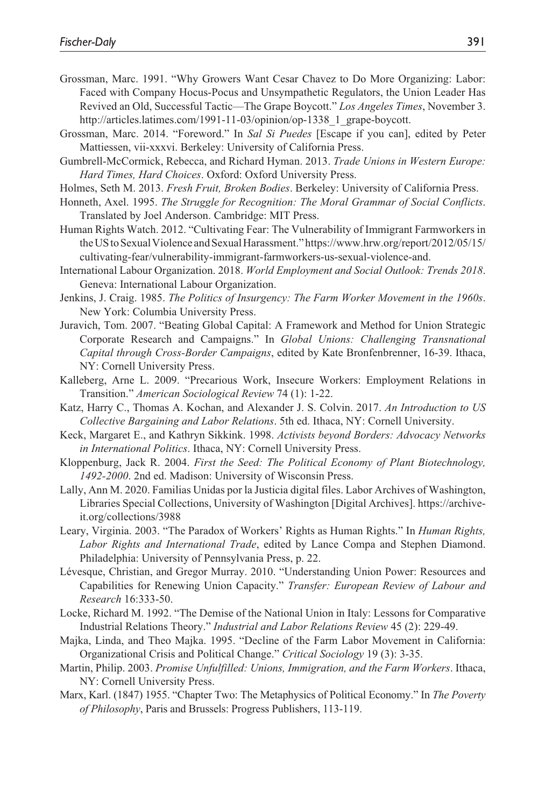- Grossman, Marc. 1991. "Why Growers Want Cesar Chavez to Do More Organizing: Labor: Faced with Company Hocus-Pocus and Unsympathetic Regulators, the Union Leader Has Revived an Old, Successful Tactic—The Grape Boycott." *Los Angeles Times*, November 3. [http://articles.latimes.com/1991-11-03/opinion/op-1338\\_1\\_grape-boycott.](http://articles.latimes.com/1991-11-03/opinion/op-1338_1_grape-boycott)
- Grossman, Marc. 2014. "Foreword." In *Sal Si Puedes* [Escape if you can], edited by Peter Mattiessen, vii-xxxvi. Berkeley: University of California Press.
- Gumbrell-McCormick, Rebecca, and Richard Hyman. 2013. *Trade Unions in Western Europe: Hard Times, Hard Choices*. Oxford: Oxford University Press.
- Holmes, Seth M. 2013. *Fresh Fruit, Broken Bodies*. Berkeley: University of California Press.
- Honneth, Axel. 1995. *The Struggle for Recognition: The Moral Grammar of Social Conflicts*. Translated by Joel Anderson. Cambridge: MIT Press.
- Human Rights Watch. 2012. "Cultivating Fear: The Vulnerability of Immigrant Farmworkers in the US to Sexual Violence and Sexual Harassment." [https://www.hrw.org/report/2012/05/15/](https://www.hrw.org/report/2012/05/15/cultivating-fear/vulnerability-immigrant-farmworkers-us-sexual-violence-and) [cultivating-fear/vulnerability-immigrant-farmworkers-us-sexual-violence-and.](https://www.hrw.org/report/2012/05/15/cultivating-fear/vulnerability-immigrant-farmworkers-us-sexual-violence-and)
- International Labour Organization. 2018. *World Employment and Social Outlook: Trends 2018*. Geneva: International Labour Organization.
- Jenkins, J. Craig. 1985. *The Politics of Insurgency: The Farm Worker Movement in the 1960s*. New York: Columbia University Press.
- Juravich, Tom. 2007. "Beating Global Capital: A Framework and Method for Union Strategic Corporate Research and Campaigns." In *Global Unions: Challenging Transnational Capital through Cross-Border Campaigns*, edited by Kate Bronfenbrenner, 16-39. Ithaca, NY: Cornell University Press.
- Kalleberg, Arne L. 2009. "Precarious Work, Insecure Workers: Employment Relations in Transition." *American Sociological Review* 74 (1): 1-22.
- Katz, Harry C., Thomas A. Kochan, and Alexander J. S. Colvin. 2017. *An Introduction to US Collective Bargaining and Labor Relations*. 5th ed. Ithaca, NY: Cornell University.
- Keck, Margaret E., and Kathryn Sikkink. 1998. *Activists beyond Borders: Advocacy Networks in International Politics*. Ithaca, NY: Cornell University Press.
- Kloppenburg, Jack R. 2004. *First the Seed: The Political Economy of Plant Biotechnology, 1492-2000*. 2nd ed. Madison: University of Wisconsin Press.
- Lally, Ann M. 2020. Familias Unidas por la Justicia digital files. Labor Archives of Washington, Libraries Special Collections, University of Washington [Digital Archives]. [https://archive](https://archive-it.org/collections/3988)[it.org/collections/3988](https://archive-it.org/collections/3988)
- Leary, Virginia. 2003. "The Paradox of Workers' Rights as Human Rights." In *Human Rights, Labor Rights and International Trade*, edited by Lance Compa and Stephen Diamond. Philadelphia: University of Pennsylvania Press, p. 22.
- Lévesque, Christian, and Gregor Murray. 2010. "Understanding Union Power: Resources and Capabilities for Renewing Union Capacity." *Transfer: European Review of Labour and Research* 16:333-50.
- Locke, Richard M. 1992. "The Demise of the National Union in Italy: Lessons for Comparative Industrial Relations Theory." *Industrial and Labor Relations Review* 45 (2): 229-49.
- Majka, Linda, and Theo Majka. 1995. "Decline of the Farm Labor Movement in California: Organizational Crisis and Political Change." *Critical Sociology* 19 (3): 3-35.
- Martin, Philip. 2003. *Promise Unfulfilled: Unions, Immigration, and the Farm Workers*. Ithaca, NY: Cornell University Press.
- Marx, Karl. (1847) 1955. "Chapter Two: The Metaphysics of Political Economy." In *The Poverty of Philosophy*, Paris and Brussels: Progress Publishers, 113-119.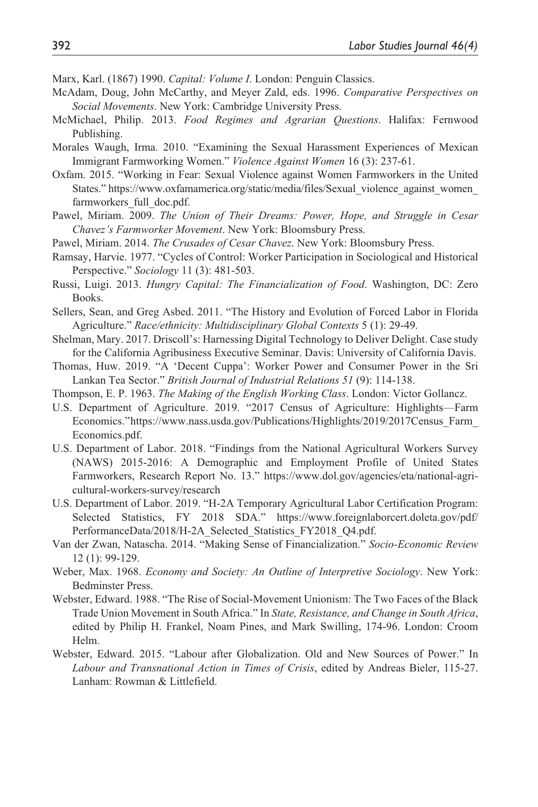Marx, Karl. (1867) 1990. *Capital: Volume I*. London: Penguin Classics.

- McAdam, Doug, John McCarthy, and Meyer Zald, eds. 1996. *Comparative Perspectives on Social Movements*. New York: Cambridge University Press.
- McMichael, Philip. 2013. *Food Regimes and Agrarian Questions*. Halifax: Fernwood Publishing.
- Morales Waugh, Irma. 2010. "Examining the Sexual Harassment Experiences of Mexican Immigrant Farmworking Women." *Violence Against Women* 16 (3): 237-61.
- Oxfam. 2015. "Working in Fear: Sexual Violence against Women Farmworkers in the United States." [https://www.oxfamamerica.org/static/media/files/Sexual\\_violence\\_against\\_women\\_](https://www.oxfamamerica.org/static/media/files/Sexual_violence_against_women_farmworkers_full_doc.pdf) [farmworkers\\_full\\_doc.pdf.](https://www.oxfamamerica.org/static/media/files/Sexual_violence_against_women_farmworkers_full_doc.pdf)
- Pawel, Miriam. 2009. *The Union of Their Dreams: Power, Hope, and Struggle in Cesar Chavez's Farmworker Movement*. New York: Bloomsbury Press.
- Pawel, Miriam. 2014. *The Crusades of Cesar Chavez*. New York: Bloomsbury Press.
- Ramsay, Harvie. 1977. "Cycles of Control: Worker Participation in Sociological and Historical Perspective." *Sociology* 11 (3): 481-503.
- Russi, Luigi. 2013. *Hungry Capital: The Financialization of Food*. Washington, DC: Zero Books.
- Sellers, Sean, and Greg Asbed. 2011. "The History and Evolution of Forced Labor in Florida Agriculture." *Race/ethnicity: Multidisciplinary Global Contexts* 5 (1): 29-49.
- Shelman, Mary. 2017. Driscoll's: Harnessing Digital Technology to Deliver Delight. Case study for the California Agribusiness Executive Seminar. Davis: University of California Davis.
- Thomas, Huw. 2019. "A 'Decent Cuppa': Worker Power and Consumer Power in the Sri Lankan Tea Sector." *British Journal of Industrial Relations 51* (9): 114-138.
- Thompson, E. P. 1963. *The Making of the English Working Class*. London: Victor Gollancz.
- U.S. Department of Agriculture. 2019. "2017 Census of Agriculture: Highlights—Farm Economics." [https://www.nass.usda.gov/Publications/Highlights/2019/2017Census\\_Farm\\_](https://www.nass.usda.gov/Publications/Highlights/2019/2017Census_Farm_) Economics.pdf.
- U.S. Department of Labor. 2018. "Findings from the National Agricultural Workers Survey (NAWS) 2015-2016: A Demographic and Employment Profile of United States Farmworkers, Research Report No. 13." [https://www.dol.gov/agencies/eta/national-agri](https://www.dol.gov/agencies/eta/national-agricultural-workers-survey/research)[cultural-workers-survey/research](https://www.dol.gov/agencies/eta/national-agricultural-workers-survey/research)
- U.S. Department of Labor. 2019. "H-2A Temporary Agricultural Labor Certification Program: Selected Statistics, FY 2018 SDA." [https://www.foreignlaborcert.doleta.gov/pdf/](https://www.foreignlaborcert.doleta.gov/pdf/PerformanceData/2018/H-2A_Selected_Statistics_FY2018_Q4.pdf) [PerformanceData/2018/H-2A\\_Selected\\_Statistics\\_FY2018\\_Q4.pdf](https://www.foreignlaborcert.doleta.gov/pdf/PerformanceData/2018/H-2A_Selected_Statistics_FY2018_Q4.pdf).
- Van der Zwan, Natascha. 2014. "Making Sense of Financialization." *Socio-Economic Review* 12 (1): 99-129.
- Weber, Max. 1968. *Economy and Society: An Outline of Interpretive Sociology*. New York: Bedminster Press.
- Webster, Edward. 1988. "The Rise of Social-Movement Unionism: The Two Faces of the Black Trade Union Movement in South Africa." In *State, Resistance, and Change in South Africa*, edited by Philip H. Frankel, Noam Pines, and Mark Swilling, 174-96. London: Croom Helm.
- Webster, Edward. 2015. "Labour after Globalization. Old and New Sources of Power." In *Labour and Transnational Action in Times of Crisis*, edited by Andreas Bieler, 115-27. Lanham: Rowman & Littlefield.